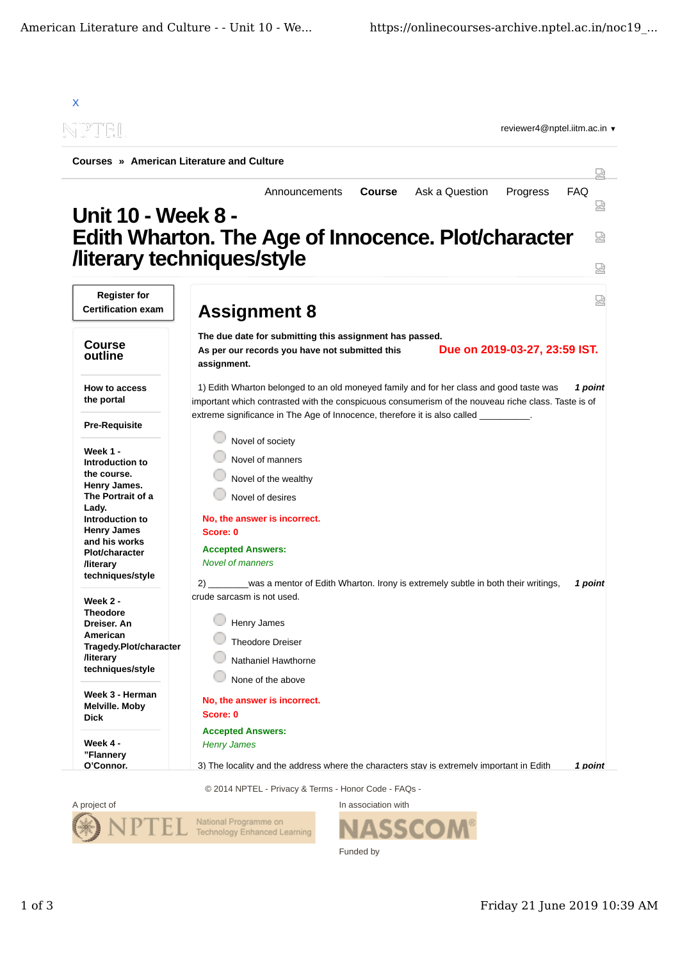

A project of **In association with** National Programme on Technology Enhanced Learning

SSCO Funded by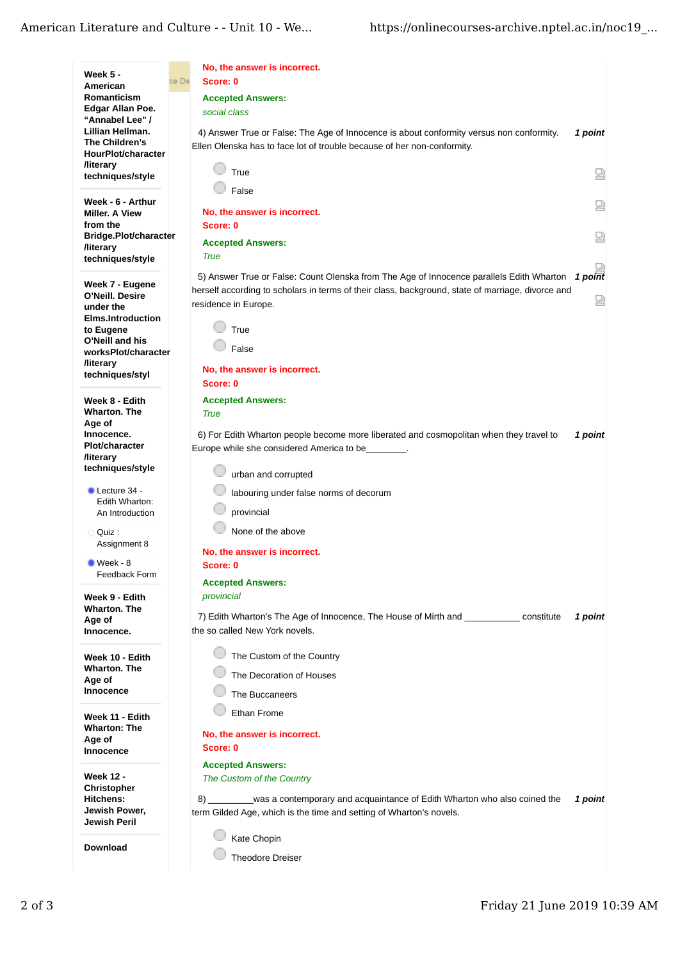|                                                    |       | No, the answer is incorrect.                                                                                                                       |         |
|----------------------------------------------------|-------|----------------------------------------------------------------------------------------------------------------------------------------------------|---------|
| Week 5 -<br>American                               | ce De | Score: 0                                                                                                                                           |         |
| <b>Romanticism</b>                                 |       | <b>Accepted Answers:</b>                                                                                                                           |         |
| Edgar Allan Poe.                                   |       | social class                                                                                                                                       |         |
| "Annabel Lee" /<br>Lillian Hellman.                |       | 4) Answer True or False: The Age of Innocence is about conformity versus non conformity.                                                           | 1 point |
| The Children's                                     |       | Ellen Olenska has to face lot of trouble because of her non-conformity.                                                                            |         |
| HourPlot/character<br><b>/literary</b>             |       |                                                                                                                                                    |         |
| techniques/style                                   |       | True                                                                                                                                               | 덟       |
|                                                    |       | False                                                                                                                                              |         |
| Week - 6 - Arthur<br><b>Miller. A View</b>         |       | No, the answer is incorrect.                                                                                                                       | 덣       |
| from the                                           |       | Score: 0                                                                                                                                           |         |
| Bridge.Plot/character                              |       | <b>Accepted Answers:</b>                                                                                                                           | 恳       |
| <b>/literary</b><br>techniques/style               |       | <b>True</b>                                                                                                                                        |         |
|                                                    |       | 5)<br>S) Answer True or False: Count Olenska from The Age of Innocence parallels Edith Wharton 1 point                                             |         |
| Week 7 - Eugene                                    |       | herself according to scholars in terms of their class, background, state of marriage, divorce and                                                  |         |
| O'Neill. Desire<br>under the                       |       | residence in Europe.                                                                                                                               | 덣       |
| <b>Elms.Introduction</b>                           |       |                                                                                                                                                    |         |
| to Eugene                                          |       | True                                                                                                                                               |         |
| O'Neill and his<br>worksPlot/character             |       | False                                                                                                                                              |         |
| <b><i><u>Iliterary</u></i></b>                     |       | No, the answer is incorrect.                                                                                                                       |         |
| techniques/styl                                    |       | Score: 0                                                                                                                                           |         |
| Week 8 - Edith                                     |       | <b>Accepted Answers:</b>                                                                                                                           |         |
| <b>Wharton. The</b>                                |       | <b>True</b>                                                                                                                                        |         |
| Age of<br>Innocence.                               |       | 6) For Edith Wharton people become more liberated and cosmopolitan when they travel to                                                             | 1 point |
| <b>Plot/character</b>                              |       | Europe while she considered America to be_                                                                                                         |         |
| <b><i><u>Iliterary</u></i></b><br>techniques/style |       |                                                                                                                                                    |         |
|                                                    |       | urban and corrupted                                                                                                                                |         |
| $\blacksquare$ Lecture 34 -<br>Edith Wharton:      |       | labouring under false norms of decorum                                                                                                             |         |
| An Introduction                                    |       | provincial                                                                                                                                         |         |
| Quiz :                                             |       | None of the above                                                                                                                                  |         |
| Assignment 8                                       |       | No, the answer is incorrect.                                                                                                                       |         |
| $\blacksquare$ Week - 8                            |       | Score: 0                                                                                                                                           |         |
| <b>Feedback Form</b>                               |       | <b>Accepted Answers:</b>                                                                                                                           |         |
| Week 9 - Edith                                     |       | provincial                                                                                                                                         |         |
| <b>Wharton, The</b>                                |       | 7) Edith Wharton's The Age of Innocence, The House of Mirth and ___________<br>constitute                                                          | 1 point |
| Age of<br>Innocence.                               |       | the so called New York novels.                                                                                                                     |         |
|                                                    |       |                                                                                                                                                    |         |
| Week 10 - Edith                                    |       | The Custom of the Country                                                                                                                          |         |
| <b>Wharton. The</b><br>Age of                      |       | The Decoration of Houses                                                                                                                           |         |
| Innocence                                          |       | The Buccaneers                                                                                                                                     |         |
|                                                    |       | Ethan Frome                                                                                                                                        |         |
| Week 11 - Edith<br><b>Wharton: The</b>             |       |                                                                                                                                                    |         |
| Age of                                             |       | No, the answer is incorrect.<br>Score: 0                                                                                                           |         |
| <b>Innocence</b>                                   |       |                                                                                                                                                    |         |
| <b>Week 12 -</b>                                   |       | <b>Accepted Answers:</b><br>The Custom of the Country                                                                                              |         |
| <b>Christopher</b>                                 |       |                                                                                                                                                    |         |
| <b>Hitchens:</b><br>Jewish Power,                  |       | 8) was a contemporary and acquaintance of Edith Wharton who also coined the<br>term Gilded Age, which is the time and setting of Wharton's novels. | 1 point |
| Jewish Peril                                       |       |                                                                                                                                                    |         |
|                                                    |       | Kate Chopin                                                                                                                                        |         |
| <b>Download</b>                                    |       | Theodore Dreiser                                                                                                                                   |         |